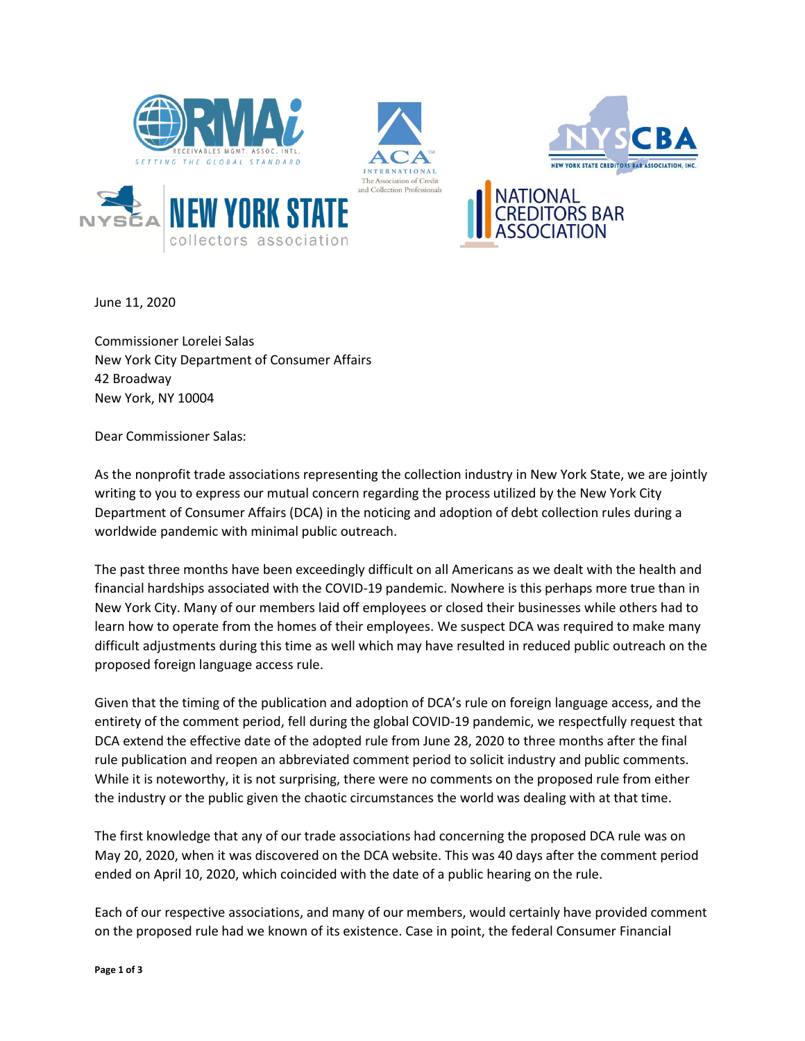







June 11, 2020

Commissioner Lorelei Salas New York City Department of Consumer Affairs 42 Broadway New York, NY 10004

collectors association

Dear Commissioner Salas:

As the nonprofit trade associations representing the collection industry in New York State, we are jointly writing to you to express our mutual concern regarding the process utilized by the New York City Department of Consumer Affairs (DCA) in the noticing and adoption of debt collection rules during a worldwide pandemic with minimal public outreach.

The past three months have been exceedingly difficult on all Americans as we dealt with the health and financial hardships associated with the COVID-19 pandemic. Nowhere is this perhaps more true than in New York City. Many of our members laid off employees or closed their businesses while others had to learn how to operate from the homes of their employees. We suspect DCA was required to make many difficult adjustments during this time as well which may have resulted in reduced public outreach on the proposed foreign language access rule.

Given that the timing of the publication and adoption of DCA's rule on foreign language access, and the entirety of the comment period, fell during the global COVID-19 pandemic, we respectfully request that DCA extend the effective date of the adopted rule from June 28, 2020 to three months after the final rule publication and reopen an abbreviated comment period to solicit industry and public comments. While it is noteworthy, it is not surprising, there were no comments on the proposed rule from either the industry or the public given the chaotic circumstances the world was dealing with at that time.

The first knowledge that any of our trade associations had concerning the proposed DCA rule was on May 20, 2020, when it was discovered on the DCA website. This was 40 days after the comment period ended on April 10, 2020, which coincided with the date of a public hearing on the rule.

Each of our respective associations, and many of our members, would certainly have provided comment on the proposed rule had we known of its existence. Case in point, the federal Consumer Financial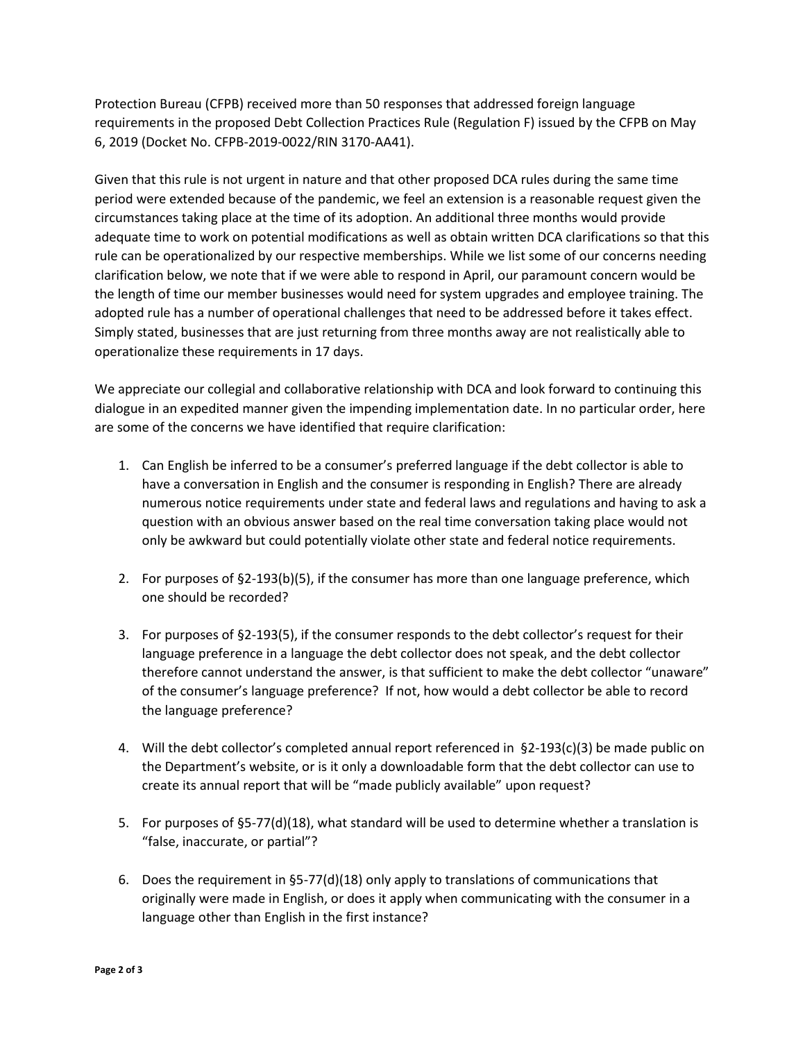Protection Bureau (CFPB) received more than 50 responses that addressed foreign language requirements in the proposed Debt Collection Practices Rule (Regulation F) issued by the CFPB on May 6, 2019 (Docket No. CFPB-2019-0022/RIN 3170-AA41).

Given that this rule is not urgent in nature and that other proposed DCA rules during the same time period were extended because of the pandemic, we feel an extension is a reasonable request given the circumstances taking place at the time of its adoption. An additional three months would provide adequate time to work on potential modifications as well as obtain written DCA clarifications so that this rule can be operationalized by our respective memberships. While we list some of our concerns needing clarification below, we note that if we were able to respond in April, our paramount concern would be the length of time our member businesses would need for system upgrades and employee training. The adopted rule has a number of operational challenges that need to be addressed before it takes effect. Simply stated, businesses that are just returning from three months away are not realistically able to operationalize these requirements in 17 days.

We appreciate our collegial and collaborative relationship with DCA and look forward to continuing this dialogue in an expedited manner given the impending implementation date. In no particular order, here are some of the concerns we have identified that require clarification:

- 1. Can English be inferred to be a consumer's preferred language if the debt collector is able to have a conversation in English and the consumer is responding in English? There are already numerous notice requirements under state and federal laws and regulations and having to ask a question with an obvious answer based on the real time conversation taking place would not only be awkward but could potentially violate other state and federal notice requirements.
- 2. For purposes of §2-193(b)(5), if the consumer has more than one language preference, which one should be recorded?
- 3. For purposes of §2-193(5), if the consumer responds to the debt collector's request for their language preference in a language the debt collector does not speak, and the debt collector therefore cannot understand the answer, is that sufficient to make the debt collector "unaware" of the consumer's language preference? If not, how would a debt collector be able to record the language preference?
- 4. Will the debt collector's completed annual report referenced in §2-193(c)(3) be made public on the Department's website, or is it only a downloadable form that the debt collector can use to create its annual report that will be "made publicly available" upon request?
- 5. For purposes of §5-77(d)(18), what standard will be used to determine whether a translation is "false, inaccurate, or partial"?
- 6. Does the requirement in §5-77(d)(18) only apply to translations of communications that originally were made in English, or does it apply when communicating with the consumer in a language other than English in the first instance?